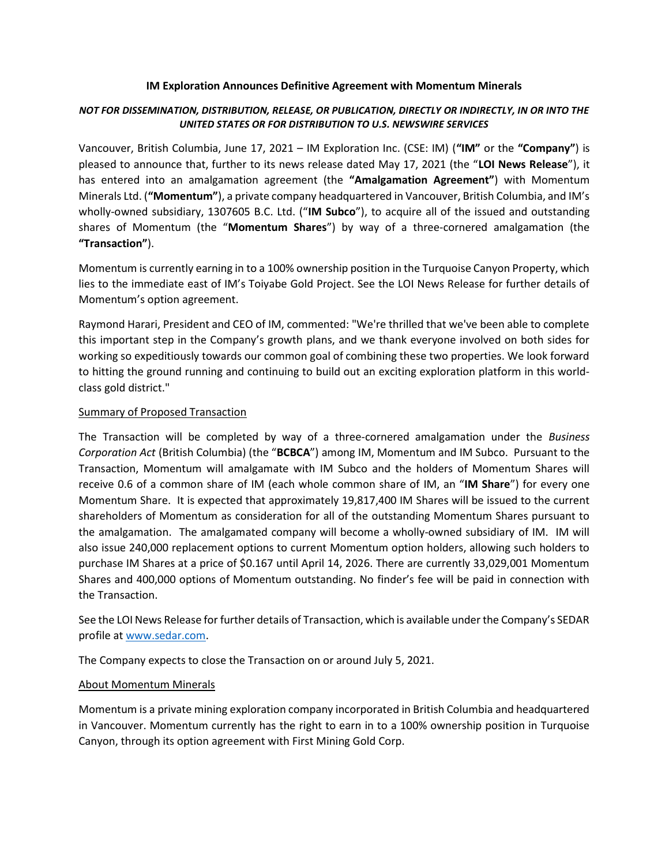#### IM Exploration Announces Definitive Agreement with Momentum Minerals

# NOT FOR DISSEMINATION, DISTRIBUTION, RELEASE, OR PUBLICATION, DIRECTLY OR INDIRECTLY, IN OR INTO THE UNITED STATES OR FOR DISTRIBUTION TO U.S. NEWSWIRE SERVICES

Vancouver, British Columbia, June 17, 2021 – IM Exploration Inc. (CSE: IM) ("IM" or the "Company") is pleased to announce that, further to its news release dated May 17, 2021 (the "LOI News Release"), it has entered into an amalgamation agreement (the "Amalgamation Agreement") with Momentum Minerals Ltd. ("Momentum"), a private company headquartered in Vancouver, British Columbia, and IM's wholly-owned subsidiary, 1307605 B.C. Ltd. ("IM Subco"), to acquire all of the issued and outstanding shares of Momentum (the "Momentum Shares") by way of a three-cornered amalgamation (the "Transaction").

Momentum is currently earning in to a 100% ownership position in the Turquoise Canyon Property, which lies to the immediate east of IM's Toiyabe Gold Project. See the LOI News Release for further details of Momentum's option agreement.

Raymond Harari, President and CEO of IM, commented: "We're thrilled that we've been able to complete this important step in the Company's growth plans, and we thank everyone involved on both sides for working so expeditiously towards our common goal of combining these two properties. We look forward to hitting the ground running and continuing to build out an exciting exploration platform in this worldclass gold district."

# Summary of Proposed Transaction

The Transaction will be completed by way of a three-cornered amalgamation under the Business Corporation Act (British Columbia) (the "BCBCA") among IM, Momentum and IM Subco. Pursuant to the Transaction, Momentum will amalgamate with IM Subco and the holders of Momentum Shares will receive 0.6 of a common share of IM (each whole common share of IM, an "IM Share") for every one Momentum Share. It is expected that approximately 19,817,400 IM Shares will be issued to the current shareholders of Momentum as consideration for all of the outstanding Momentum Shares pursuant to the amalgamation. The amalgamated company will become a wholly-owned subsidiary of IM. IM will also issue 240,000 replacement options to current Momentum option holders, allowing such holders to purchase IM Shares at a price of \$0.167 until April 14, 2026. There are currently 33,029,001 Momentum Shares and 400,000 options of Momentum outstanding. No finder's fee will be paid in connection with the Transaction.

See the LOI News Release for further details of Transaction, which is available under the Company's SEDAR profile at www.sedar.com.

The Company expects to close the Transaction on or around July 5, 2021.

# About Momentum Minerals

Momentum is a private mining exploration company incorporated in British Columbia and headquartered in Vancouver. Momentum currently has the right to earn in to a 100% ownership position in Turquoise Canyon, through its option agreement with First Mining Gold Corp.